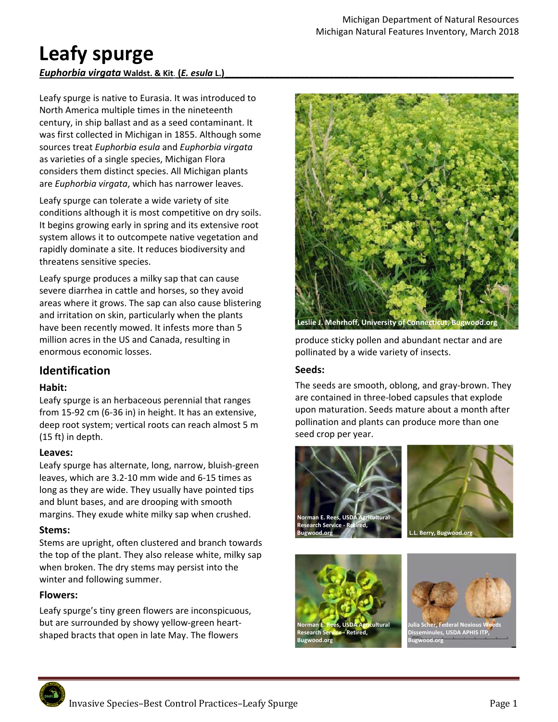# Leafy spurge

# *Euphorbia virgata* **Waldst. & Kit**. **(***E. esula* **L.)\_\_\_\_\_\_\_\_\_\_\_\_\_\_\_\_\_\_\_\_\_\_\_\_\_\_\_\_\_\_\_\_\_\_\_\_\_\_\_\_\_\_\_\_\_\_\_\_\_\_\_\_\_\_\_\_\_\_**

Leafy spurge is native to Eurasia. It was introduced to North America multiple times in the nineteenth century, in ship ballast and as a seed contaminant. It was first collected in Michigan in 1855. Although some sources treat *Euphorbia esula* and *Euphorbia virgata* as varieties of a single species, Michigan Flora considers them distinct species. All Michigan plants are *Euphorbia virgata*, which has narrower leaves.

Leafy spurge can tolerate a wide variety of site conditions although it is most competitive on dry soils. It begins growing early in spring and its extensive root system allows it to outcompete native vegetation and rapidly dominate a site. It reduces biodiversity and threatens sensitive species.

Leafy spurge produces a milky sap that can cause severe diarrhea in cattle and horses, so they avoid areas where it grows. The sap can also cause blistering and irritation on skin, particularly when the plants have been recently mowed. It infests more than 5 million acres in the US and Canada, resulting in enormous economic losses.

# **Identification**

# **Habit:**

Leafy spurge is an herbaceous perennial that ranges from 15‐92 cm (6‐36 in) in height. It has an extensive, deep root system; vertical roots can reach almost 5 m (15 ft) in depth.

# **Leaves:**

Leafy spurge has alternate, long, narrow, bluish‐green leaves, which are 3.2‐10 mm wide and 6‐15 times as long as they are wide. They usually have pointed tips and blunt bases, and are drooping with smooth margins. They exude white milky sap when crushed.

# **Stems:**

Stems are upright, often clustered and branch towards the top of the plant. They also release white, milky sap when broken. The dry stems may persist into the winter and following summer.

# **Flowers:**

Leafy spurge's tiny green flowers are inconspicuous, but are surrounded by showy yellow‐green heart‐ shaped bracts that open in late May. The flowers



produce sticky pollen and abundant nectar and are pollinated by a wide variety of insects.

# **Seeds:**

The seeds are smooth, oblong, and gray‐brown. They are contained in three‐lobed capsules that explode upon maturation. Seeds mature about a month after pollination and plants can produce more than one seed crop per year.









**Julia Scher, Federal Noxious Weeds Disseminules, USDA APHIS ITP, Bugwood.org**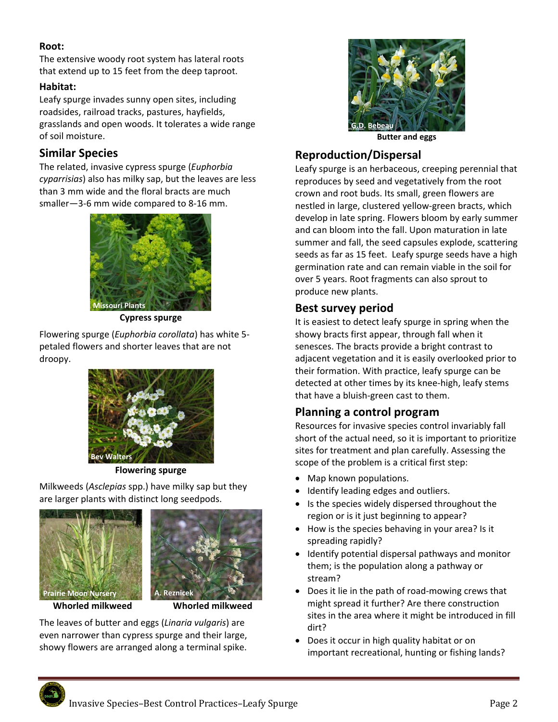# **Root:**

The extensive woody root system has lateral roots that extend up to 15 feet from the deep taproot.

## **Habitat:**

Leafy spurge invades sunny open sites, including roadsides, railroad tracks, pastures, hayfields, grasslands and open woods. It tolerates a wide range of soil moisture.

# **Similar Species**

The related, invasive cypress spurge (*Euphorbia cyparrisias*) also has milky sap, but the leaves are less than 3 mm wide and the floral bracts are much smaller-3-6 mm wide compared to 8-16 mm.



**Cypress spurge** 

Flowering spurge (*Euphorbia corollata*) has white 5‐ petaled flowers and shorter leaves that are not droopy.



**Flowering spurge** 

Milkweeds (*Asclepias* spp.) have milky sap but they are larger plants with distinct long seedpods.





The leaves of butter and eggs (*Linaria vulgaris*) are even narrower than cypress spurge and their large, showy flowers are arranged along a terminal spike.



**Butter and eggs** 

# **Reproduction/Dispersal**

Leafy spurge is an herbaceous, creeping perennial that reproduces by seed and vegetatively from the root crown and root buds. Its small, green flowers are nestled in large, clustered yellow‐green bracts, which develop in late spring. Flowers bloom by early summer and can bloom into the fall. Upon maturation in late summer and fall, the seed capsules explode, scattering seeds as far as 15 feet. Leafy spurge seeds have a high germination rate and can remain viable in the soil for over 5 years. Root fragments can also sprout to produce new plants.

# **Best survey period**

It is easiest to detect leafy spurge in spring when the showy bracts first appear, through fall when it senesces. The bracts provide a bright contrast to adjacent vegetation and it is easily overlooked prior to their formation. With practice, leafy spurge can be detected at other times by its knee‐high, leafy stems that have a bluish‐green cast to them.

# **Planning a control program**

Resources for invasive species control invariably fall short of the actual need, so it is important to prioritize sites for treatment and plan carefully. Assessing the scope of the problem is a critical first step:

- Map known populations.
- Identify leading edges and outliers.
- Is the species widely dispersed throughout the region or is it just beginning to appear?
- How is the species behaving in your area? Is it spreading rapidly?
- Identify potential dispersal pathways and monitor them; is the population along a pathway or stream?
- Does it lie in the path of road-mowing crews that might spread it further? Are there construction sites in the area where it might be introduced in fill dirt?
- Does it occur in high quality habitat or on important recreational, hunting or fishing lands?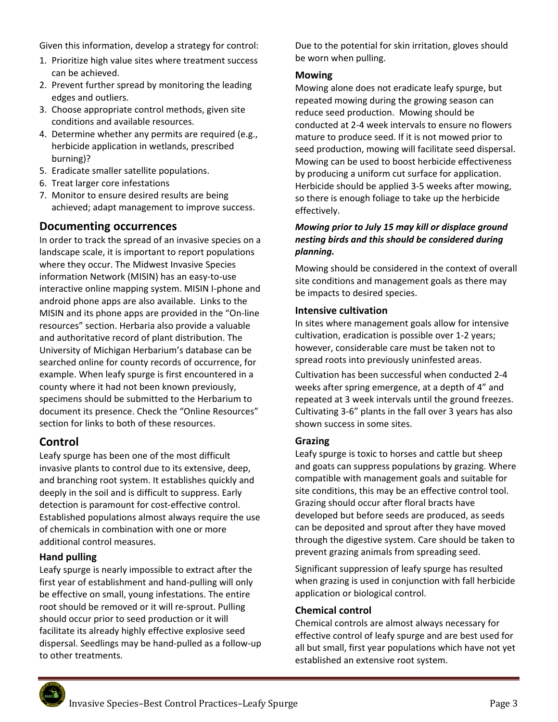Given this information, develop a strategy for control:

- 1. Prioritize high value sites where treatment success can be achieved.
- 2. Prevent further spread by monitoring the leading edges and outliers.
- 3. Choose appropriate control methods, given site conditions and available resources.
- 4. Determine whether any permits are required (e.g., herbicide application in wetlands, prescribed burning)?
- 5. Eradicate smaller satellite populations.
- 6. Treat larger core infestations
- 7. Monitor to ensure desired results are being achieved; adapt management to improve success.

# **Documenting occurrences**

In order to track the spread of an invasive species on a landscape scale, it is important to report populations where they occur. The Midwest Invasive Species information Network (MISIN) has an easy‐to‐use interactive online mapping system. MISIN I‐phone and android phone apps are also available. Links to the MISIN and its phone apps are provided in the "On‐line resources" section. Herbaria also provide a valuable and authoritative record of plant distribution. The University of Michigan Herbarium's database can be searched online for county records of occurrence, for example. When leafy spurge is first encountered in a county where it had not been known previously, specimens should be submitted to the Herbarium to document its presence. Check the "Online Resources" section for links to both of these resources.

# **Control**

Leafy spurge has been one of the most difficult invasive plants to control due to its extensive, deep, and branching root system. It establishes quickly and deeply in the soil and is difficult to suppress. Early detection is paramount for cost-effective control. Established populations almost always require the use of chemicals in combination with one or more additional control measures.

# **Hand pulling**

Leafy spurge is nearly impossible to extract after the first year of establishment and hand‐pulling will only be effective on small, young infestations. The entire root should be removed or it will re‐sprout. Pulling should occur prior to seed production or it will facilitate its already highly effective explosive seed dispersal. Seedlings may be hand‐pulled as a follow‐up to other treatments.

Due to the potential for skin irritation, gloves should be worn when pulling.

## **Mowing**

Mowing alone does not eradicate leafy spurge, but repeated mowing during the growing season can reduce seed production. Mowing should be conducted at 2‐4 week intervals to ensure no flowers mature to produce seed. If it is not mowed prior to seed production, mowing will facilitate seed dispersal. Mowing can be used to boost herbicide effectiveness by producing a uniform cut surface for application. Herbicide should be applied 3‐5 weeks after mowing, so there is enough foliage to take up the herbicide effectively.

# *Mowing prior to July 15 may kill or displace ground nesting birds and this should be considered during planning.*

Mowing should be considered in the context of overall site conditions and management goals as there may be impacts to desired species.

# **Intensive cultivation**

In sites where management goals allow for intensive cultivation, eradication is possible over 1‐2 years; however, considerable care must be taken not to spread roots into previously uninfested areas.

Cultivation has been successful when conducted 2‐4 weeks after spring emergence, at a depth of 4" and repeated at 3 week intervals until the ground freezes. Cultivating 3‐6" plants in the fall over 3 years has also shown success in some sites.

# **Grazing**

Leafy spurge is toxic to horses and cattle but sheep and goats can suppress populations by grazing. Where compatible with management goals and suitable for site conditions, this may be an effective control tool. Grazing should occur after floral bracts have developed but before seeds are produced, as seeds can be deposited and sprout after they have moved through the digestive system. Care should be taken to prevent grazing animals from spreading seed.

Significant suppression of leafy spurge has resulted when grazing is used in conjunction with fall herbicide application or biological control.

# **Chemical control**

Chemical controls are almost always necessary for effective control of leafy spurge and are best used for all but small, first year populations which have not yet established an extensive root system.

Invasive Species–Best Control Practices–Leafy Spurge **Page 3**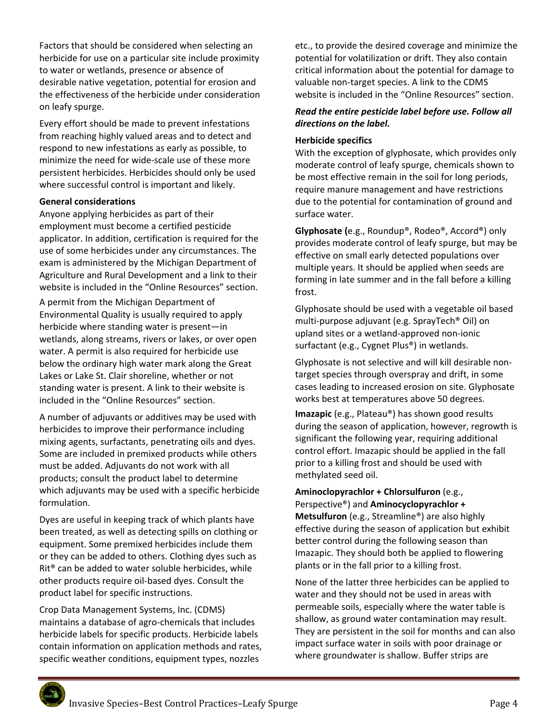Factors that should be considered when selecting an herbicide for use on a particular site include proximity to water or wetlands, presence or absence of desirable native vegetation, potential for erosion and the effectiveness of the herbicide under consideration on leafy spurge.

Every effort should be made to prevent infestations from reaching highly valued areas and to detect and respond to new infestations as early as possible, to minimize the need for wide‐scale use of these more persistent herbicides. Herbicides should only be used where successful control is important and likely.

#### **General considerations**

Anyone applying herbicides as part of their employment must become a certified pesticide applicator. In addition, certification is required for the use of some herbicides under any circumstances. The exam is administered by the Michigan Department of Agriculture and Rural Development and a link to their website is included in the "Online Resources" section.

A permit from the Michigan Department of Environmental Quality is usually required to apply herbicide where standing water is present—in wetlands, along streams, rivers or lakes, or over open water. A permit is also required for herbicide use below the ordinary high water mark along the Great Lakes or Lake St. Clair shoreline, whether or not standing water is present. A link to their website is included in the "Online Resources" section.

A number of adjuvants or additives may be used with herbicides to improve their performance including mixing agents, surfactants, penetrating oils and dyes. Some are included in premixed products while others must be added. Adjuvants do not work with all products; consult the product label to determine which adjuvants may be used with a specific herbicide formulation.

Dyes are useful in keeping track of which plants have been treated, as well as detecting spills on clothing or equipment. Some premixed herbicides include them or they can be added to others. Clothing dyes such as Rit® can be added to water soluble herbicides, while other products require oil‐based dyes. Consult the product label for specific instructions.

Crop Data Management Systems, Inc. (CDMS) maintains a database of agro‐chemicals that includes herbicide labels for specific products. Herbicide labels contain information on application methods and rates, specific weather conditions, equipment types, nozzles

etc., to provide the desired coverage and minimize the potential for volatilization or drift. They also contain critical information about the potential for damage to valuable non‐target species. A link to the CDMS website is included in the "Online Resources" section.

## *Read the entire pesticide label before use. Follow all directions on the label.*

#### **Herbicide specifics**

With the exception of glyphosate, which provides only moderate control of leafy spurge, chemicals shown to be most effective remain in the soil for long periods, require manure management and have restrictions due to the potential for contamination of ground and surface water.

**Glyphosate (**e.g., Roundup®, Rodeo®, Accord®) only provides moderate control of leafy spurge, but may be effective on small early detected populations over multiple years. It should be applied when seeds are forming in late summer and in the fall before a killing frost.

Glyphosate should be used with a vegetable oil based multi‐purpose adjuvant (e.g. SprayTech® Oil) on upland sites or a wetland‐approved non‐ionic surfactant (e.g., Cygnet Plus®) in wetlands.

Glyphosate is not selective and will kill desirable non‐ target species through overspray and drift, in some cases leading to increased erosion on site. Glyphosate works best at temperatures above 50 degrees.

**Imazapic** (e.g., Plateau®) has shown good results during the season of application, however, regrowth is significant the following year, requiring additional control effort. Imazapic should be applied in the fall prior to a killing frost and should be used with methylated seed oil.

#### **Aminoclopyrachlor + Chlorsulfuron** (e.g., Perspective®) and **Aminocyclopyrachlor +**

**Metsulfuron** (e.g., Streamline®) are also highly effective during the season of application but exhibit better control during the following season than Imazapic. They should both be applied to flowering plants or in the fall prior to a killing frost.

None of the latter three herbicides can be applied to water and they should not be used in areas with permeable soils, especially where the water table is shallow, as ground water contamination may result. They are persistent in the soil for months and can also impact surface water in soils with poor drainage or where groundwater is shallow. Buffer strips are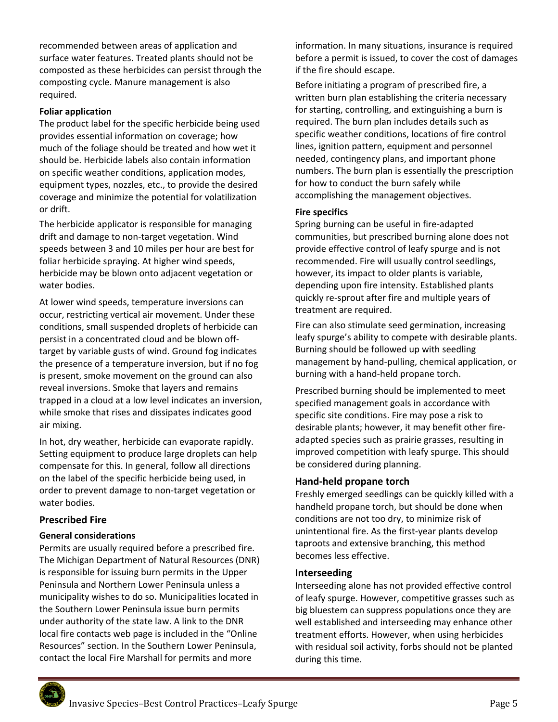recommended between areas of application and surface water features. Treated plants should not be composted as these herbicides can persist through the composting cycle. Manure management is also required.

#### **Foliar application**

The product label for the specific herbicide being used provides essential information on coverage; how much of the foliage should be treated and how wet it should be. Herbicide labels also contain information on specific weather conditions, application modes, equipment types, nozzles, etc., to provide the desired coverage and minimize the potential for volatilization or drift.

The herbicide applicator is responsible for managing drift and damage to non‐target vegetation. Wind speeds between 3 and 10 miles per hour are best for foliar herbicide spraying. At higher wind speeds, herbicide may be blown onto adjacent vegetation or water bodies.

At lower wind speeds, temperature inversions can occur, restricting vertical air movement. Under these conditions, small suspended droplets of herbicide can persist in a concentrated cloud and be blown off‐ target by variable gusts of wind. Ground fog indicates the presence of a temperature inversion, but if no fog is present, smoke movement on the ground can also reveal inversions. Smoke that layers and remains trapped in a cloud at a low level indicates an inversion, while smoke that rises and dissipates indicates good air mixing.

In hot, dry weather, herbicide can evaporate rapidly. Setting equipment to produce large droplets can help compensate for this. In general, follow all directions on the label of the specific herbicide being used, in order to prevent damage to non‐target vegetation or water bodies.

#### **Prescribed Fire**

#### **General considerations**

Permits are usually required before a prescribed fire. The Michigan Department of Natural Resources (DNR) is responsible for issuing burn permits in the Upper Peninsula and Northern Lower Peninsula unless a municipality wishes to do so. Municipalities located in the Southern Lower Peninsula issue burn permits under authority of the state law. A link to the DNR local fire contacts web page is included in the "Online Resources" section. In the Southern Lower Peninsula, contact the local Fire Marshall for permits and more

information. In many situations, insurance is required before a permit is issued, to cover the cost of damages if the fire should escape.

Before initiating a program of prescribed fire, a written burn plan establishing the criteria necessary for starting, controlling, and extinguishing a burn is required. The burn plan includes details such as specific weather conditions, locations of fire control lines, ignition pattern, equipment and personnel needed, contingency plans, and important phone numbers. The burn plan is essentially the prescription for how to conduct the burn safely while accomplishing the management objectives.

#### **Fire specifics**

Spring burning can be useful in fire‐adapted communities, but prescribed burning alone does not provide effective control of leafy spurge and is not recommended. Fire will usually control seedlings, however, its impact to older plants is variable, depending upon fire intensity. Established plants quickly re‐sprout after fire and multiple years of treatment are required.

Fire can also stimulate seed germination, increasing leafy spurge's ability to compete with desirable plants. Burning should be followed up with seedling management by hand‐pulling, chemical application, or burning with a hand‐held propane torch.

Prescribed burning should be implemented to meet specified management goals in accordance with specific site conditions. Fire may pose a risk to desirable plants; however, it may benefit other fire‐ adapted species such as prairie grasses, resulting in improved competition with leafy spurge. This should be considered during planning.

#### **Hand‐held propane torch**

Freshly emerged seedlings can be quickly killed with a handheld propane torch, but should be done when conditions are not too dry, to minimize risk of unintentional fire. As the first‐year plants develop taproots and extensive branching, this method becomes less effective.

#### **Interseeding**

Interseeding alone has not provided effective control of leafy spurge. However, competitive grasses such as big bluestem can suppress populations once they are well established and interseeding may enhance other treatment efforts. However, when using herbicides with residual soil activity, forbs should not be planted during this time.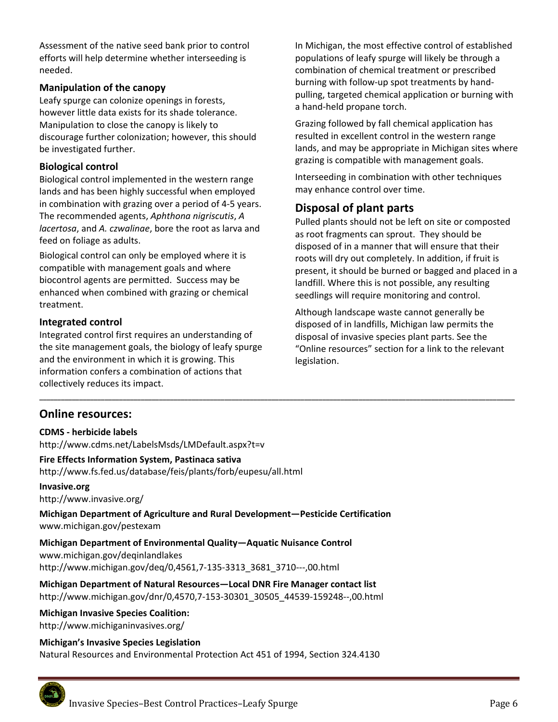Assessment of the native seed bank prior to control efforts will help determine whether interseeding is needed.

## **Manipulation of the canopy**

Leafy spurge can colonize openings in forests, however little data exists for its shade tolerance. Manipulation to close the canopy is likely to discourage further colonization; however, this should be investigated further.

# **Biological control**

Biological control implemented in the western range lands and has been highly successful when employed in combination with grazing over a period of 4‐5 years. The recommended agents, *Aphthona nigriscutis*, *A lacertosa*, and *A. czwalinae*, bore the root as larva and feed on foliage as adults.

Biological control can only be employed where it is compatible with management goals and where biocontrol agents are permitted. Success may be enhanced when combined with grazing or chemical treatment.

# **Integrated control**

Integrated control first requires an understanding of the site management goals, the biology of leafy spurge and the environment in which it is growing. This information confers a combination of actions that collectively reduces its impact.

In Michigan, the most effective control of established populations of leafy spurge will likely be through a combination of chemical treatment or prescribed burning with follow‐up spot treatments by hand‐ pulling, targeted chemical application or burning with a hand‐held propane torch.

Grazing followed by fall chemical application has resulted in excellent control in the western range lands, and may be appropriate in Michigan sites where grazing is compatible with management goals.

Interseeding in combination with other techniques may enhance control over time.

# **Disposal of plant parts**

Pulled plants should not be left on site or composted as root fragments can sprout. They should be disposed of in a manner that will ensure that their roots will dry out completely. In addition, if fruit is present, it should be burned or bagged and placed in a landfill. Where this is not possible, any resulting seedlings will require monitoring and control.

Although landscape waste cannot generally be disposed of in landfills, Michigan law permits the disposal of invasive species plant parts. See the "Online resources" section for a link to the relevant legislation.

# **Online resources:**

#### **CDMS ‐ herbicide labels**

http://www.cdms.net/LabelsMsds/LMDefault.aspx?t=v

#### **Fire Effects Information System, Pastinaca sativa**

http://www.fs.fed.us/database/feis/plants/forb/eupesu/all.html

#### **Invasive.org**

http://www.invasive.org/

**Michigan Department of Agriculture and Rural Development—Pesticide Certification**  www.michigan.gov/pestexam

**\_\_\_\_\_\_\_\_\_\_\_\_\_\_\_\_\_\_\_\_\_\_\_\_\_\_\_\_\_\_\_\_\_\_\_\_\_\_\_\_\_\_\_\_\_\_\_\_\_\_\_\_\_\_\_\_\_\_\_\_\_\_\_\_\_\_\_\_\_\_\_\_\_\_\_\_\_\_\_\_\_\_\_\_\_\_\_\_\_\_\_\_\_\_\_\_\_\_\_\_\_\_\_\_\_\_\_\_\_\_\_\_\_\_\_\_\_\_\_\_\_\_\_\_\_\_\_\_\_\_\_** 

# **Michigan Department of Environmental Quality—Aquatic Nuisance Control**  www.michigan.gov/deqinlandlakes

http://www.michigan.gov/deq/0,4561,7‐135‐3313\_3681\_3710‐‐‐,00.html

**Michigan Department of Natural Resources—Local DNR Fire Manager contact list**  http://www.michigan.gov/dnr/0,4570,7‐153‐30301\_30505\_44539‐159248‐‐,00.html

# **Michigan Invasive Species Coalition:**

http://www.michiganinvasives.org/

#### **Michigan's Invasive Species Legislation**

Natural Resources and Environmental Protection Act 451 of 1994, Section 324.4130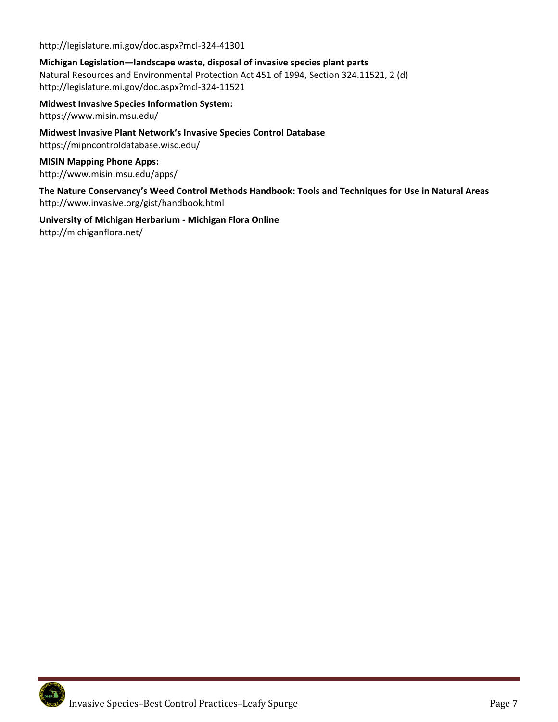http://legislature.mi.gov/doc.aspx?mcl‐324‐41301

## **Michigan Legislation—landscape waste, disposal of invasive species plant parts**

Natural Resources and Environmental Protection Act 451 of 1994, Section 324.11521, 2 (d) http://legislature.mi.gov/doc.aspx?mcl‐324‐11521

**Midwest Invasive Species Information System:**  https://www.misin.msu.edu/

**Midwest Invasive Plant Network's Invasive Species Control Database**  https://mipncontroldatabase.wisc.edu/

**MISIN Mapping Phone Apps:** http://www.misin.msu.edu/apps/

**The Nature Conservancy's Weed Control Methods Handbook: Tools and Techniques for Use in Natural Areas**  http://www.invasive.org/gist/handbook.html

**University of Michigan Herbarium ‐ Michigan Flora Online** http://michiganflora.net/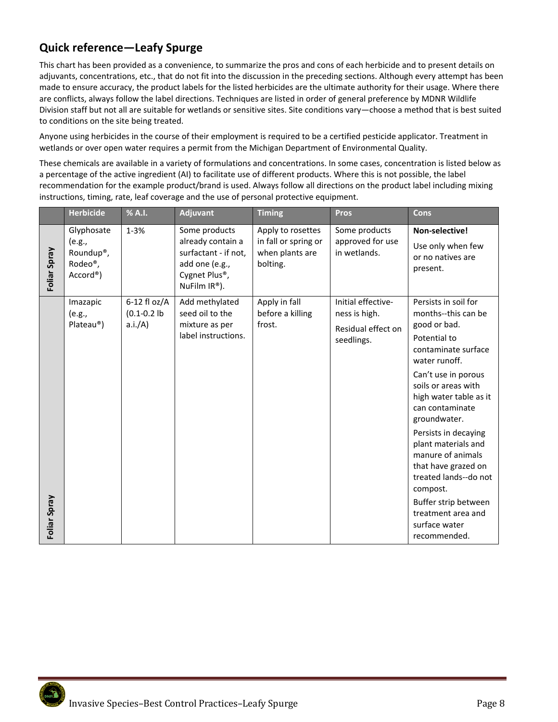# **Quick reference—Leafy Spurge**

This chart has been provided as a convenience, to summarize the pros and cons of each herbicide and to present details on adjuvants, concentrations, etc., that do not fit into the discussion in the preceding sections. Although every attempt has been made to ensure accuracy, the product labels for the listed herbicides are the ultimate authority for their usage. Where there are conflicts, always follow the label directions. Techniques are listed in order of general preference by MDNR Wildlife Division staff but not all are suitable for wetlands or sensitive sites. Site conditions vary—choose a method that is best suited to conditions on the site being treated.

Anyone using herbicides in the course of their employment is required to be a certified pesticide applicator. Treatment in wetlands or over open water requires a permit from the Michigan Department of Environmental Quality.

These chemicals are available in a variety of formulations and concentrations. In some cases, concentration is listed below as a percentage of the active ingredient (AI) to facilitate use of different products. Where this is not possible, the label recommendation for the example product/brand is used. Always follow all directions on the product label including mixing instructions, timing, rate, leaf coverage and the use of personal protective equipment.

|              | <b>Herbicide</b>                                                                      | % A.I.                                     | <b>Adjuvant</b>                                                                                                         | <b>Timing</b>                                                            | <b>Pros</b>                                                             | Cons                                                                                                                                                                                                                                                                                                                                                                                                                                          |
|--------------|---------------------------------------------------------------------------------------|--------------------------------------------|-------------------------------------------------------------------------------------------------------------------------|--------------------------------------------------------------------------|-------------------------------------------------------------------------|-----------------------------------------------------------------------------------------------------------------------------------------------------------------------------------------------------------------------------------------------------------------------------------------------------------------------------------------------------------------------------------------------------------------------------------------------|
| Foliar Spray | Glyphosate<br>(e.g.,<br>Roundup <sup>®</sup> ,<br>Rodeo <sup>®</sup> ,<br>$Accord®$ ) | $1 - 3%$                                   | Some products<br>already contain a<br>surfactant - if not,<br>add one (e.g.,<br>Cygnet Plus®,<br>NuFilm $IR^{\circ}$ ). | Apply to rosettes<br>in fall or spring or<br>when plants are<br>bolting. | Some products<br>approved for use<br>in wetlands.                       | Non-selective!<br>Use only when few<br>or no natives are<br>present.                                                                                                                                                                                                                                                                                                                                                                          |
| Foliar Spray | Imazapic<br>(e.g.,<br>Plateau®)                                                       | $6-12$ fl oz/A<br>$(0.1 - 0.2)$<br>a.i./A) | Add methylated<br>seed oil to the<br>mixture as per<br>label instructions.                                              | Apply in fall<br>before a killing<br>frost.                              | Initial effective-<br>ness is high.<br>Residual effect on<br>seedlings. | Persists in soil for<br>months--this can be<br>good or bad.<br>Potential to<br>contaminate surface<br>water runoff.<br>Can't use in porous<br>soils or areas with<br>high water table as it<br>can contaminate<br>groundwater.<br>Persists in decaying<br>plant materials and<br>manure of animals<br>that have grazed on<br>treated lands--do not<br>compost.<br>Buffer strip between<br>treatment area and<br>surface water<br>recommended. |